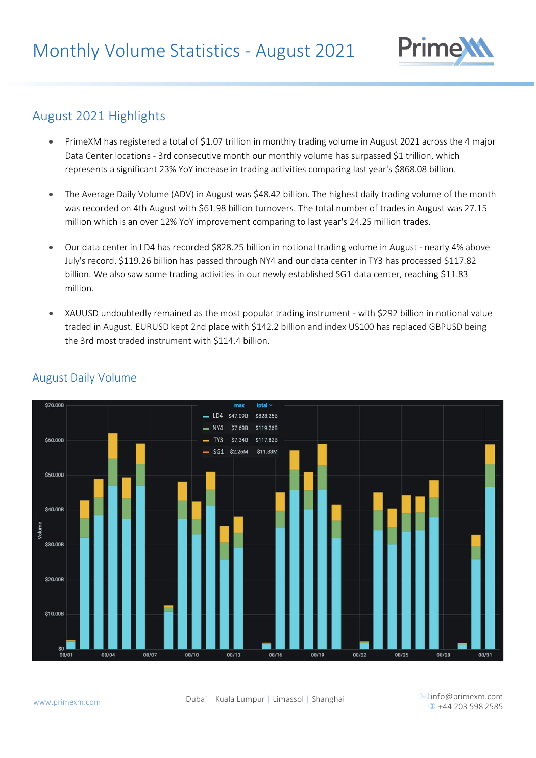

### August 2021 Highlights

- PrimeXM has registered a total of \$1.07 trillion in monthly trading volume in August 2021 across the 4 major Data Center locations - 3rd consecutive month our monthly volume has surpassed \$1 trillion, which represents a significant 23% YoY increase in trading activities comparing last year's \$868.08 billion.
- The Average Daily Volume (ADV) in August was \$48.42 billion. The highest daily trading volume of the month was recorded on 4th August with \$61.98 billion turnovers. The total number of trades in August was 27.15 million which is an over 12% YoY improvement comparing to last year's 24.25 million trades.
- Our data center in LD4 has recorded \$828.25 billion in notional trading volume in August nearly 4% above July's record. \$119.26 billion has passed through NY4 and our data center in TY3 has processed \$117.82 billion. We also saw some trading activities in our newly established SG1 data center, reaching \$11.83 million.
- XAUUSD undoubtedly remained as the most popular trading instrument with \$292 billion in notional value traded in August. EURUSD kept 2nd place with \$142.2 billion and index US100 has replaced GBPUSD being the 3rd most traded instrument with \$114.4 billion.



#### August Daily Volume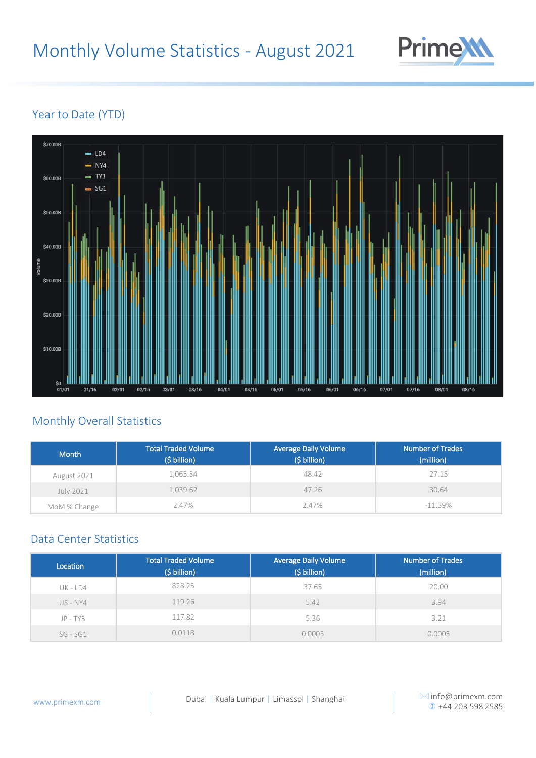

#### Year to Date (YTD)



#### Monthly Overall Statistics

| <b>Month</b> | <b>Total Traded Volume</b><br>(\$ billion) | <b>Average Daily Volume</b><br>(\$ billion) | <b>Number of Trades</b><br>(million) |
|--------------|--------------------------------------------|---------------------------------------------|--------------------------------------|
| August 2021  | 1.065.34                                   | 48.42                                       | 27.15                                |
| July 2021    | 1,039.62                                   | 47.26                                       | 30.64                                |
| MoM % Change | 2.47%                                      | 2.47%                                       | $-11.39%$                            |

#### Data Center Statistics

| Location   | <b>Total Traded Volume</b><br>(\$ billion) | <b>Average Daily Volume</b><br>(\$ billion) | <b>Number of Trades</b><br>(million) |
|------------|--------------------------------------------|---------------------------------------------|--------------------------------------|
| UK - LD4   | 828.25                                     | 37.65                                       | 20.00                                |
| $US - NY4$ | 119.26                                     | 5.42                                        | 3.94                                 |
| $JP - TY3$ | 117.82                                     | 5.36                                        | 3.21                                 |
| $SG - SG1$ | 0.0118                                     | 0.0005                                      | 0.0005                               |